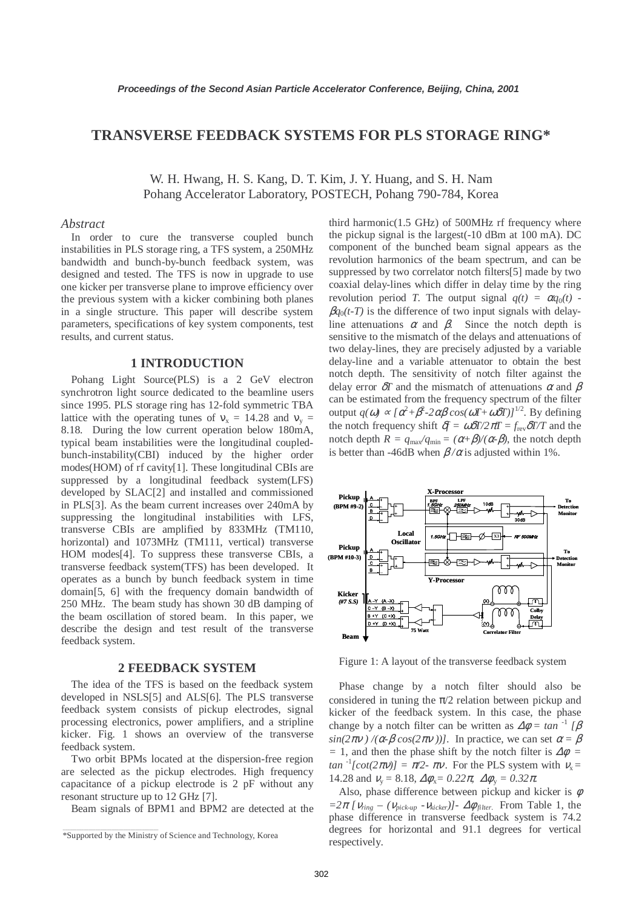# **TRANSVERSE FEEDBACK SYSTEMS FOR PLS STORAGE RING\***

W. H. Hwang, H. S. Kang, D. T. Kim, J. Y. Huang, and S. H. Nam Pohang Accelerator Laboratory, POSTECH, Pohang 790-784, Korea

#### *Abstract*

In order to cure the transverse coupled bunch instabilities in PLS storage ring, a TFS system, a 250MHz bandwidth and bunch-by-bunch feedback system, was designed and tested. The TFS is now in upgrade to use one kicker per transverse plane to improve efficiency over the previous system with a kicker combining both planes in a single structure. This paper will describe system parameters, specifications of key system components, test results, and current status.

## **1 INTRODUCTION**

Pohang Light Source(PLS) is a 2 GeV electron synchrotron light source dedicated to the beamline users since 1995. PLS storage ring has 12-fold symmetric TBA lattice with the operating tunes of  $v_x = 14.28$  and  $v_y =$ 8.18. During the low current operation below 180mA, typical beam instabilities were the longitudinal coupledbunch-instability(CBI) induced by the higher order modes(HOM) of rf cavity[1]. These longitudinal CBIs are suppressed by a longitudinal feedback system(LFS) developed by SLAC[2] and installed and commissioned in PLS[3]. As the beam current increases over 240mA by suppressing the longitudinal instabilities with LFS, transverse CBIs are amplified by 833MHz (TM110, horizontal) and 1073MHz (TM111, vertical) transverse HOM modes[4]. To suppress these transverse CBIs, a transverse feedback system(TFS) has been developed. It operates as a bunch by bunch feedback system in time domain[5, 6] with the frequency domain bandwidth of 250 MHz. The beam study has shown 30 dB damping of the beam oscillation of stored beam. In this paper, we describe the design and test result of the transverse feedback system.

#### **2 FEEDBACK SYSTEM**

The idea of the TFS is based on the feedback system developed in NSLS[5] and ALS[6]. The PLS transverse feedback system consists of pickup electrodes, signal processing electronics, power amplifiers, and a stripline kicker. Fig. 1 shows an overview of the transverse feedback system.

Two orbit BPMs located at the dispersion-free region are selected as the pickup electrodes. High frequency capacitance of a pickup electrode is 2 pF without any resonant structure up to 12 GHz [7].

Beam signals of BPM1 and BPM2 are detected at the

\_\_\_\_\_\_\_\_\_\_\_\_\_\_\_\_\_\_\_\_\_\_\_\_\_\_\_\_\_\_\_\_\_\_\_\_\_\_\_\_\_

third harmonic(1.5 GHz) of 500MHz rf frequency where the pickup signal is the largest(-10 dBm at 100 mA). DC component of the bunched beam signal appears as the revolution harmonics of the beam spectrum, and can be suppressed by two correlator notch filters[5] made by two coaxial delay-lines which differ in delay time by the ring revolution period *T*. The output signal  $q(t) = \alpha q_0(t)$  - $\beta q_0(t-T)$  is the difference of two input signals with delayline attenuations  $\alpha$  and  $\beta$ . Since the notch depth is sensitive to the mismatch of the delays and attenuations of two delay-lines, they are precisely adjusted by a variable delay-line and a variable attenuator to obtain the best notch depth. The sensitivity of notch filter against the delay error  $\delta T$  and the mismatch of attenuations  $\alpha$  and  $\beta$ can be estimated from the frequency spectrum of the filter  $output q(ω) \propto [α<sup>2</sup>+β<sup>2</sup>-2αβ cos(ωT+ωδT)]<sup>1/2</sup>$ . By defining the notch frequency shift  $\delta f = \omega \delta T / 2 \pi T = f_{\text{rev}} \delta T / T$  and the notch depth  $R = q_{\text{max}}/q_{\text{min}} = (\alpha + \beta)/(\alpha - \beta)$ , the notch depth is better than -46dB when  $\beta/\alpha$  is adjusted within 1%.



Figure 1: A layout of the transverse feedback system

Phase change by a notch filter should also be considered in tuning the  $\pi/2$  relation between pickup and kicker of the feedback system. In this case, the phase change by a notch filter can be written as  $\Delta \phi = \tan^{-1} \left[ \beta \right]$ *sin(*2 $\pi$ *v* ) /( $\alpha$ - $\beta$  cos(2 $\pi$ *v* ))]. In practice, we can set  $\alpha = \beta$ *=* 1, and then the phase shift by the notch filter is ∆φ *=*   $tan^{-1}[cot(2\pi v)] = \pi/2$ -  $\pi v$ . For the PLS system with  $v_x =$ 14.28 and  $v_y = 8.18$ ,  $\Delta \phi_x = 0.22\pi$ ,  $\Delta \phi_y = 0.32\pi$ .

Also, phase difference between pickup and kicker is  $\phi$  $=2\pi$  *[* $V_{ring}$  –  $(V_{pick-up} - V_{kicker})$ ]-  $\Delta\phi_{filter}$ . From Table 1, the phase difference in transverse feedback system is 74.2 degrees for horizontal and 91.1 degrees for vertical respectively.

<sup>\*</sup>Supported by the Ministry of Science and Technology, Korea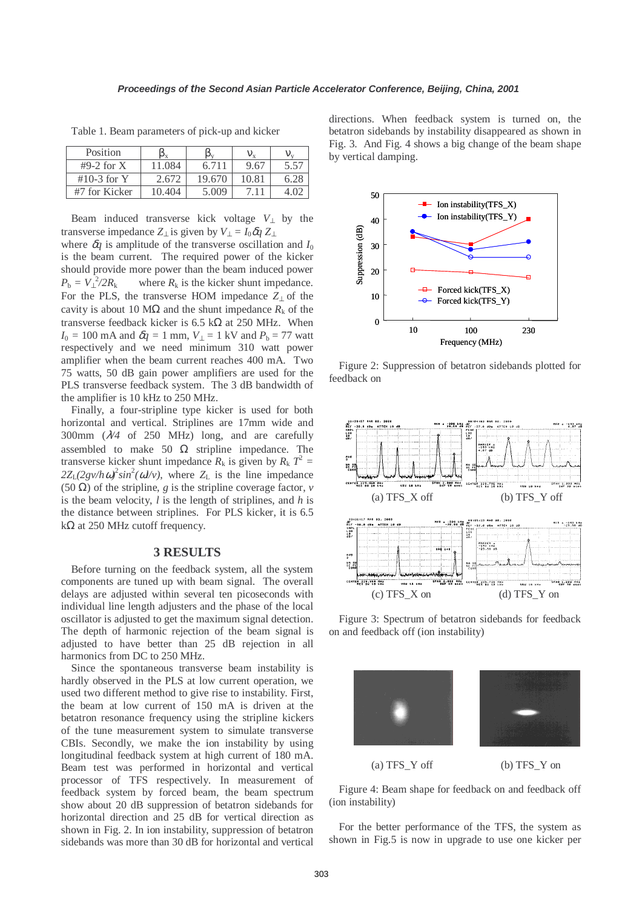Table 1. Beam parameters of pick-up and kicker

| Position      | μy     |        |       |      |
|---------------|--------|--------|-------|------|
| $#9-2$ for X  | 11.084 | 6.711  | 9.67  | 5.57 |
| $#10-3$ for Y | 2.672  | 19.670 | 10.81 | 6.28 |
| #7 for Kicker | 10.404 | 5.009  |       |      |

Beam induced transverse kick voltage  $V_1$  by the transverse impedance  $Z_{\perp}$  is given by  $V_{\perp} = I_0 \delta q Z_{\perp}$ 

where  $\delta q$  is amplitude of the transverse oscillation and  $I_0$ is the beam current. The required power of the kicker should provide more power than the beam induced power  $P_{\rm b} = V_{\perp}^2$ where  $R_k$  is the kicker shunt impedance. For the PLS, the transverse HOM impedance *Z*<sup>⊥</sup> of the cavity is about 10 M $\Omega$  and the shunt impedance  $R_k$  of the transverse feedback kicker is 6.5 k $\Omega$  at 250 MHz. When  $I_0 = 100 \text{ mA}$  and  $\delta q = 1 \text{ mm}$ ,  $V_1 = 1 \text{ kV}$  and  $P_b = 77 \text{ watt}$ respectively and we need minimum 310 watt power amplifier when the beam current reaches 400 mA. Two 75 watts, 50 dB gain power amplifiers are used for the PLS transverse feedback system. The 3 dB bandwidth of the amplifier is 10 kHz to 250 MHz.

Finally, a four-stripline type kicker is used for both horizontal and vertical. Striplines are 17mm wide and 300mm (λ*/4* of 250 MHz) long, and are carefully assembled to make 50  $\Omega$  stripline impedance. The transverse kicker shunt impedance  $R_k$  is given by  $R_k T^2 =$  $2Z_L(2gv/h\omega)^2 sin^2(\omega l/v)$ , where  $Z_L$  is the line impedance (50 Ω) of the stripline, *g* is the stripline coverage factor, *v* is the beam velocity, *l* is the length of striplines, and *h* is the distance between striplines. For PLS kicker, it is 6.5  $k\Omega$  at 250 MHz cutoff frequency.

#### **3 RESULTS**

Before turning on the feedback system, all the system components are tuned up with beam signal. The overall delays are adjusted within several ten picoseconds with individual line length adjusters and the phase of the local oscillator is adjusted to get the maximum signal detection. The depth of harmonic rejection of the beam signal is adjusted to have better than 25 dB rejection in all harmonics from DC to 250 MHz.

Since the spontaneous transverse beam instability is hardly observed in the PLS at low current operation, we used two different method to give rise to instability. First, the beam at low current of 150 mA is driven at the betatron resonance frequency using the stripline kickers of the tune measurement system to simulate transverse CBIs. Secondly, we make the ion instability by using longitudinal feedback system at high current of 180 mA. Beam test was performed in horizontal and vertical processor of TFS respectively. In measurement of feedback system by forced beam, the beam spectrum show about 20 dB suppression of betatron sidebands for horizontal direction and 25 dB for vertical direction as shown in Fig. 2. In ion instability, suppression of betatron sidebands was more than 30 dB for horizontal and vertical directions. When feedback system is turned on, the betatron sidebands by instability disappeared as shown in Fig. 3. And Fig. 4 shows a big change of the beam shape by vertical damping.



Figure 2: Suppression of betatron sidebands plotted for feedback on



Figure 3: Spectrum of betatron sidebands for feedback on and feedback off (ion instability)



Figure 4: Beam shape for feedback on and feedback off (ion instability)

For the better performance of the TFS, the system as shown in Fig.5 is now in upgrade to use one kicker per